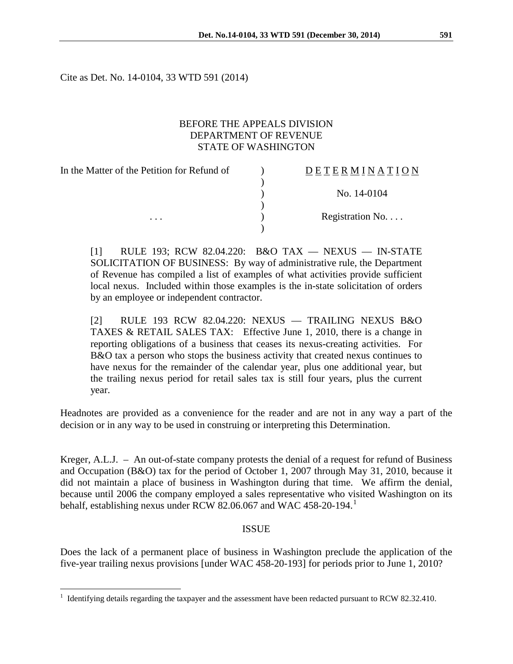Cite as Det. No. 14-0104, 33 WTD 591 (2014)

# BEFORE THE APPEALS DIVISION DEPARTMENT OF REVENUE STATE OF WASHINGTON

In the Matter of the Petition for Refund of  $\qquad)$  $\lambda$ D E T E R M I N A T I O N ) No. 14-0104 ) ... (a) Registration No....  $\lambda$ 

[1] RULE 193; RCW 82.04.220: B&O TAX — NEXUS — IN-STATE SOLICITATION OF BUSINESS: By way of administrative rule, the Department of Revenue has compiled a list of examples of what activities provide sufficient local nexus. Included within those examples is the in-state solicitation of orders by an employee or independent contractor.

[2] RULE 193 RCW 82.04.220: NEXUS — TRAILING NEXUS B&O TAXES & RETAIL SALES TAX: Effective June 1, 2010, there is a change in reporting obligations of a business that ceases its nexus-creating activities. For B&O tax a person who stops the business activity that created nexus continues to have nexus for the remainder of the calendar year, plus one additional year, but the trailing nexus period for retail sales tax is still four years, plus the current year.

Headnotes are provided as a convenience for the reader and are not in any way a part of the decision or in any way to be used in construing or interpreting this Determination.

Kreger, A.L.J. – An out-of-state company protests the denial of a request for refund of Business and Occupation (B&O) tax for the period of October 1, 2007 through May 31, 2010, because it did not maintain a place of business in Washington during that time. We affirm the denial, because until 2006 the company employed a sales representative who visited Washington on its behalf, establishing nexus under RCW 82.06.067 and WAC 458-20-[1](#page-0-0)94.

### ISSUE

Does the lack of a permanent place of business in Washington preclude the application of the five-year trailing nexus provisions [under WAC 458-20-193] for periods prior to June 1, 2010?

 $\overline{a}$ 

<span id="page-0-0"></span><sup>&</sup>lt;sup>1</sup> Identifying details regarding the taxpayer and the assessment have been redacted pursuant to RCW 82.32.410.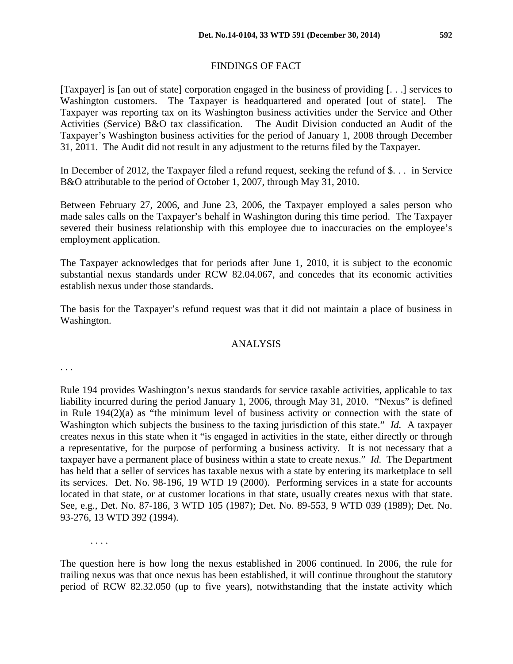## FINDINGS OF FACT

[Taxpayer] is [an out of state] corporation engaged in the business of providing [. . .] services to Washington customers. The Taxpayer is headquartered and operated [out of state]. The Taxpayer was reporting tax on its Washington business activities under the Service and Other Activities (Service) B&O tax classification. The Audit Division conducted an Audit of the Taxpayer's Washington business activities for the period of January 1, 2008 through December 31, 2011. The Audit did not result in any adjustment to the returns filed by the Taxpayer.

In December of 2012, the Taxpayer filed a refund request, seeking the refund of \$. . . in Service B&O attributable to the period of October 1, 2007, through May 31, 2010.

Between February 27, 2006, and June 23, 2006, the Taxpayer employed a sales person who made sales calls on the Taxpayer's behalf in Washington during this time period. The Taxpayer severed their business relationship with this employee due to inaccuracies on the employee's employment application.

The Taxpayer acknowledges that for periods after June 1, 2010, it is subject to the economic substantial nexus standards under RCW 82.04.067, and concedes that its economic activities establish nexus under those standards.

The basis for the Taxpayer's refund request was that it did not maintain a place of business in Washington.

### ANALYSIS

. . .

Rule 194 provides Washington's nexus standards for service taxable activities, applicable to tax liability incurred during the period January 1, 2006, through May 31, 2010. "Nexus" is defined in Rule 194(2)(a) as "the minimum level of business activity or connection with the state of Washington which subjects the business to the taxing jurisdiction of this state." *Id.* A taxpayer creates nexus in this state when it "is engaged in activities in the state, either directly or through a representative, for the purpose of performing a business activity. It is not necessary that a taxpayer have a permanent place of business within a state to create nexus." *Id.* The Department has held that a seller of services has taxable nexus with a state by entering its marketplace to sell its services. Det. No. 98-196, 19 WTD 19 (2000). Performing services in a state for accounts located in that state, or at customer locations in that state, usually creates nexus with that state. See, e.g., Det. No. 87-186, 3 WTD 105 (1987); Det. No. 89-553, 9 WTD 039 (1989); Det. No. 93-276, 13 WTD 392 (1994).

. . . .

The question here is how long the nexus established in 2006 continued. In 2006, the rule for trailing nexus was that once nexus has been established, it will continue throughout the statutory period of RCW 82.32.050 (up to five years), notwithstanding that the instate activity which